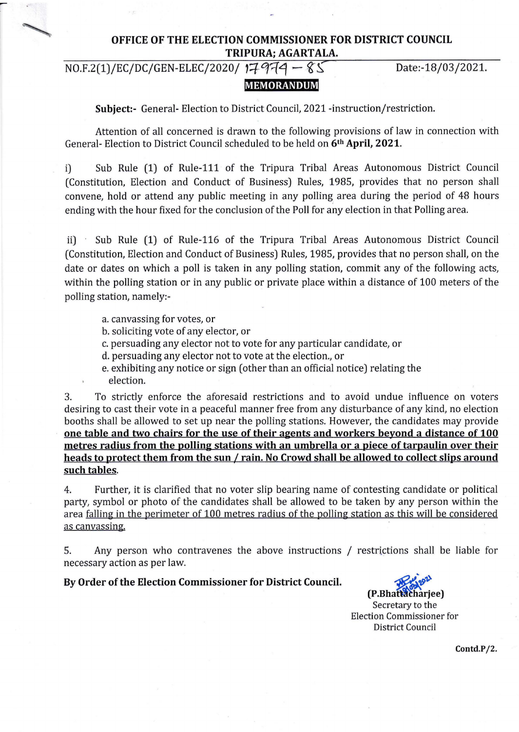# OFFICE OF THE ELECTION COMMISSIONER FOR DISTRICT COUNCIL TRIPURA: AGARTALA.

MEMORANDUM

 $NO.F.2(1)/EC/DC/GEN-EDEC/2020/17974 - 85$  Date:-18/03/2021.

Subject:- General- Election to District Council, 2021 -instruction/restriction.

Attention of all concerned is drawn to the following provisions of law in connection with General- Election to District Council scheduled to be held on 6th April, 2021.

i) Sub Rule (1) of Rule-111 of the Tripura Tribal Areas Autonomous District Council (Constitution, Election and Conduct of Business) Rules, 1985, provides that no person shall convene, hold or attend any public meeting in any polling area during the period of 48 hours ending with the hour fixed for the conclusion of the Poll for any election in that Polling area.

ii) Sub Rule (1) of Rule-116 of the Tripura Tribal Areas Autonomous District Council (Constitution, Election and Conduct of Business) Rules, 1985, provides that no person shall, on the date or dates on which a poll is taken in any polling station, commit any of the following acts, within the polling station or in any public or private place within a distance of 100 meters of the polling station, namely:-

- a. canvassing for votes, or
- b. soliciting vote of any elector, or
- c. persuading any elector not to vote for any particular candidate, or
- d. persuading any elector not to vote at the election., or
- e. exhibiting any notice or sign (other than an official notice) relating the
- election.

3. To strictly enforce the aforesaid restrictions and to avoid undue influence on voters desiring to cast their vote in a peaceful manner free from any disturbance of any kind, no election booths shall be allowed to set up near the polling stations. However, the candidates may provide one table and two chairs for the use of their agents and workers beyond a distance of 100 metres radius from the polling stations with an umbrella or a piece of tarpaulin over their heads to protect them from the sun / rain. No Crowd shall be allowed to collect slips around such tables.

4. Further, it is clarified that no voter slip bearing name of contesting candidate or political party, symbol or photo of the candidates shall be allowed to be taken by any person within the area falling in the perimeter of 100 metres radius of the polling station as this will be considered as canvassing.

5. Any person who contravenes the above instructions / restrictions shall be liable for necessary action as per law.

# By Order of the Election Commissioner for District Council.

(P.Bhattacharjee) Secretary to the Election Commissioner for District Council

Contd.P/2.